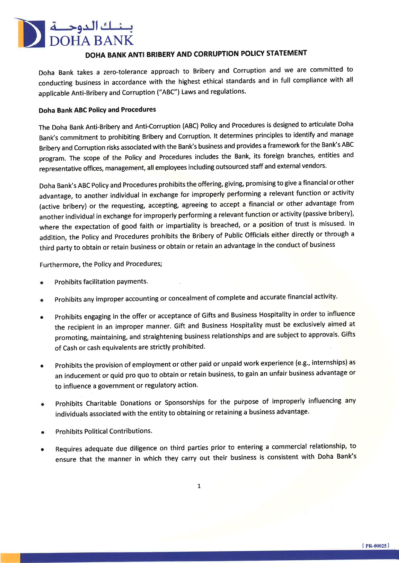

## DOHA BANK ANTI BRIBERY AND CORRUPTION POLICY STATEMENT

Doha Bank takes a zero-tolerance approach to Bribery and Corruption and we are committed to conducting business in accordance with the highest ethical standards and in full compliance with all applicable Anti-Bribery and Corruption ("ABC") Laws and regulations.

## Doha Bank ABC Policy and Procedures

The Doha Bank Anti-Bribery and Anti-Corruption (ABC) Policy and Procedures is designed to articulate Doha Bank's commitment to prohibiting Bribery and Corruption. It determines principles to identify and manage Bribery and Corruption risks associated with the Bank's business and provides a framework for the Bank's ABC program. The scope of the policy and Procedures includes the Bank, its foreign branches, entities and representative offices, management, all employees including outsourced staff and external vendors.

Doha Bank's ABC policy and Procedures prohibits the offering, giving, promising to give a financial or other advantage, to another individual in exchange for improperly performing a relevant function or activity (active bribery) or the requesting, accepting, agreeing to accept a financial or other advantage from another individual in exchange for improperly performing a relevant function or activity (passive bribery), where the expectation of good faith or impartiality is breached, or a position of trust is misused. In addition, the policy and procedures prohibits the Bribery of Public officials either directly or through <sup>a</sup> third party to obtain or retain business or obtain or retain an advantage in the conduct of business

Furthermore, the Policy and Procedures;

- a Prohibits facilitation payments.
- a prohibits any improper accounting or concealment of complete and accurate financial activity.
- a prohibits engaging in the offer or acceptance of Gifts and Business Hospitality in order to influence the recipient in an improper manner. Gift and Business Hospitality must be exclusively aimed at promoting, maintaining, and straightening business relationships and are subject to approvals. Gifts of Cash or cash equivalents are strictly prohibited.
- Prohibits the provision of employment or other paid or unpaid work experience (e.g., internships) as an inducement or quid pro quo to obtain or retain business, to gain an unfair business advantage or to influence a government or regulatory action. a
- Prohibits Charitable Donations or Sponsorships for the purpose of improperly influencing any individuals associated with the entity to obtaining or retaining a business advantage. a
- Prohibits Political Contributions.
- Requires adequate due diligence on third parties prior to enterinq a commercial relationship, to ensure that the manner in which they carry out their business is consistent with Doha Bank's a

 $\mathbf{1}$